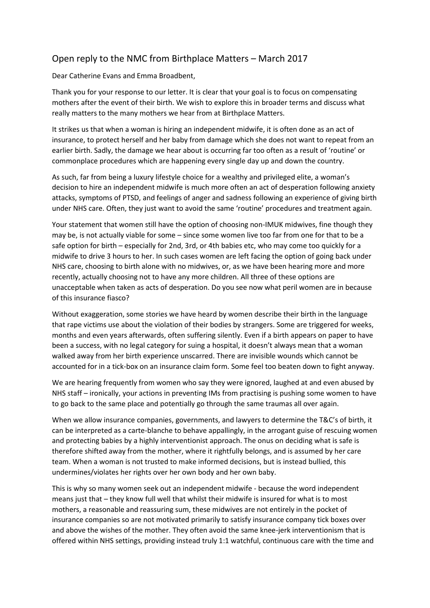## Open reply to the NMC from Birthplace Matters – March 2017

Dear Catherine Evans and Emma Broadbent,

Thank you for your response to our letter. It is clear that your goal is to focus on compensating mothers after the event of their birth. We wish to explore this in broader terms and discuss what really matters to the many mothers we hear from at Birthplace Matters.

It strikes us that when a woman is hiring an independent midwife, it is often done as an act of insurance, to protect herself and her baby from damage which she does not want to repeat from an earlier birth. Sadly, the damage we hear about is occurring far too often as a result of 'routine' or commonplace procedures which are happening every single day up and down the country.

As such, far from being a luxury lifestyle choice for a wealthy and privileged elite, a woman's decision to hire an independent midwife is much more often an act of desperation following anxiety attacks, symptoms of PTSD, and feelings of anger and sadness following an experience of giving birth under NHS care. Often, they just want to avoid the same 'routine' procedures and treatment again.

Your statement that women still have the option of choosing non-IMUK midwives, fine though they may be, is not actually viable for some – since some women live too far from one for that to be a safe option for birth – especially for 2nd, 3rd, or 4th babies etc, who may come too quickly for a midwife to drive 3 hours to her. In such cases women are left facing the option of going back under NHS care, choosing to birth alone with no midwives, or, as we have been hearing more and more recently, actually choosing not to have any more children. All three of these options are unacceptable when taken as acts of desperation. Do you see now what peril women are in because of this insurance fiasco?

Without exaggeration, some stories we have heard by women describe their birth in the language that rape victims use about the violation of their bodies by strangers. Some are triggered for weeks, months and even years afterwards, often suffering silently. Even if a birth appears on paper to have been a success, with no legal category for suing a hospital, it doesn't always mean that a woman walked away from her birth experience unscarred. There are invisible wounds which cannot be accounted for in a tick-box on an insurance claim form. Some feel too beaten down to fight anyway.

We are hearing frequently from women who say they were ignored, laughed at and even abused by NHS staff – ironically, your actions in preventing IMs from practising is pushing some women to have to go back to the same place and potentially go through the same traumas all over again.

When we allow insurance companies, governments, and lawyers to determine the T&C's of birth, it can be interpreted as a carte-blanche to behave appallingly, in the arrogant guise of rescuing women and protecting babies by a highly interventionist approach. The onus on deciding what is safe is therefore shifted away from the mother, where it rightfully belongs, and is assumed by her care team. When a woman is not trusted to make informed decisions, but is instead bullied, this undermines/violates her rights over her own body and her own baby.

This is why so many women seek out an independent midwife - because the word independent means just that – they know full well that whilst their midwife is insured for what is to most mothers, a reasonable and reassuring sum, these midwives are not entirely in the pocket of insurance companies so are not motivated primarily to satisfy insurance company tick boxes over and above the wishes of the mother. They often avoid the same knee-jerk interventionism that is offered within NHS settings, providing instead truly 1:1 watchful, continuous care with the time and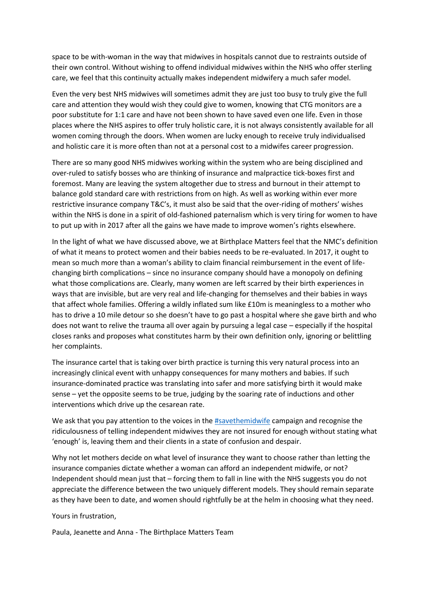space to be with-woman in the way that midwives in hospitals cannot due to restraints outside of their own control. Without wishing to offend individual midwives within the NHS who offer sterling care, we feel that this continuity actually makes independent midwifery a much safer model.

Even the very best NHS midwives will sometimes admit they are just too busy to truly give the full care and attention they would wish they could give to women, knowing that CTG monitors are a poor substitute for 1:1 care and have not been shown to have saved even one life. Even in those places where the NHS aspires to offer truly holistic care, it is not always consistently available for all women coming through the doors. When women are lucky enough to receive truly individualised and holistic care it is more often than not at a personal cost to a midwifes career progression.

There are so many good NHS midwives working within the system who are being disciplined and over-ruled to satisfy bosses who are thinking of insurance and malpractice tick-boxes first and foremost. Many are leaving the system altogether due to stress and burnout in their attempt to balance gold standard care with restrictions from on high. As well as working within ever more restrictive insurance company T&C's, it must also be said that the over-riding of mothers' wishes within the NHS is done in a spirit of old-fashioned paternalism which is very tiring for women to have to put up with in 2017 after all the gains we have made to improve women's rights elsewhere.

In the light of what we have discussed above, we at Birthplace Matters feel that the NMC's definition of what it means to protect women and their babies needs to be re-evaluated. In 2017, it ought to mean so much more than a woman's ability to claim financial reimbursement in the event of lifechanging birth complications – since no insurance company should have a monopoly on defining what those complications are. Clearly, many women are left scarred by their birth experiences in ways that are invisible, but are very real and life-changing for themselves and their babies in ways that affect whole families. Offering a wildly inflated sum like £10m is meaningless to a mother who has to drive a 10 mile detour so she doesn't have to go past a hospital where she gave birth and who does not want to relive the trauma all over again by pursuing a legal case – especially if the hospital closes ranks and proposes what constitutes harm by their own definition only, ignoring or belittling her complaints.

The insurance cartel that is taking over birth practice is turning this very natural process into an increasingly clinical event with unhappy consequences for many mothers and babies. If such insurance-dominated practice was translating into safer and more satisfying birth it would make sense – yet the opposite seems to be true, judging by the soaring rate of inductions and other interventions which drive up the cesarean rate.

We ask that you pay attention to the voices in the [#savethemidwife](https://www.facebook.com/hashtag/savethemidwife?source=feed_text&story_id=644183162435835) campaign and recognise the ridiculousness of telling independent midwives they are not insured for enough without stating what 'enough' is, leaving them and their clients in a state of confusion and despair.

Why not let mothers decide on what level of insurance they want to choose rather than letting the insurance companies dictate whether a woman can afford an independent midwife, or not? Independent should mean just that – forcing them to fall in line with the NHS suggests you do not appreciate the difference between the two uniquely different models. They should remain separate as they have been to date, and women should rightfully be at the helm in choosing what they need.

Yours in frustration,

Paula, Jeanette and Anna - The Birthplace Matters Team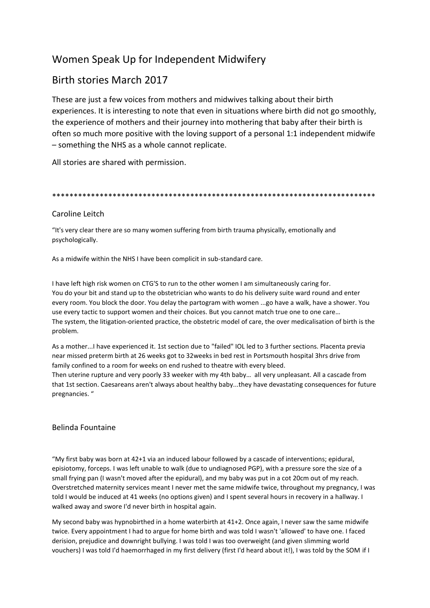# Women Speak Up for Independent Midwifery

# Birth stories March 2017

These are just a few voices from mothers and midwives talking about their birth experiences. It is interesting to note that even in situations where birth did not go smoothly, the experience of mothers and their journey into mothering that baby after their birth is often so much more positive with the loving support of a personal 1:1 independent midwife – something the NHS as a whole cannot replicate.

All stories are shared with permission.

## \*\*\*\*\*\*\*\*\*\*\*\*\*\*\*\*\*\*\*\*\*\*\*\*\*\*\*\*\*\*\*\*\*\*\*\*\*\*\*\*\*\*\*\*\*\*\*\*\*\*\*\*\*\*\*\*\*\*\*\*\*\*\*\*\*\*\*\*\*\*\*\*\*\*\*

## Caroline Leitch

"It's very clear there are so many women suffering from birth trauma physically, emotionally and psychologically.

As a midwife within the NHS I have been complicit in sub-standard care.

I have left high risk women on CTG'S to run to the other women I am simultaneously caring for. You do your bit and stand up to the obstetrician who wants to do his delivery suite ward round and enter every room. You block the door. You delay the partogram with women ...go have a walk, have a shower. You use every tactic to support women and their choices. But you cannot match true one to one care… The system, the litigation-oriented practice, the obstetric model of care, the over medicalisation of birth is the problem.

As a mother...I have experienced it. 1st section due to "failed" IOL led to 3 further sections. Placenta previa near missed preterm birth at 26 weeks got to 32weeks in bed rest in Portsmouth hospital 3hrs drive from family confined to a room for weeks on end rushed to theatre with every bleed.

Then uterine rupture and very poorly 33 weeker with my 4th baby… all very unpleasant. All a cascade from that 1st section. Caesareans aren't always about healthy baby...they have devastating consequences for future pregnancies. "

## Belinda Fountaine

"My first baby was born at 42+1 via an induced labour followed by a cascade of interventions; epidural, episiotomy, forceps. I was left unable to walk (due to undiagnosed PGP), with a pressure sore the size of a small frying pan (I wasn't moved after the epidural), and my baby was put in a cot 20cm out of my reach. Overstretched maternity services meant I never met the same midwife twice, throughout my pregnancy, I was told I would be induced at 41 weeks (no options given) and I spent several hours in recovery in a hallway. I walked away and swore I'd never birth in hospital again.

My second baby was hypnobirthed in a home waterbirth at 41+2. Once again, I never saw the same midwife twice. Every appointment I had to argue for home birth and was told I wasn't 'allowed' to have one. I faced derision, prejudice and downright bullying. I was told I was too overweight (and given slimming world vouchers) I was told I'd haemorrhaged in my first delivery (first I'd heard about it!), I was told by the SOM if I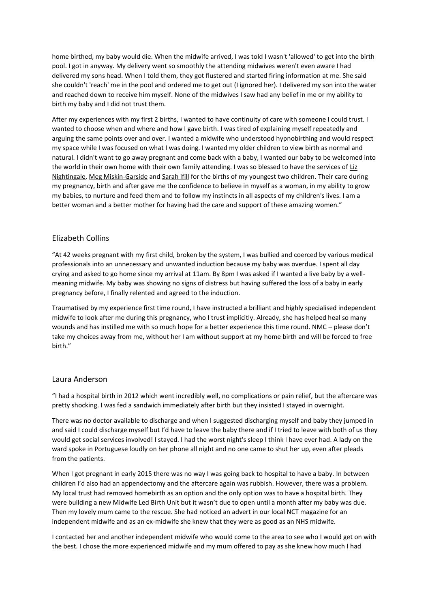home birthed, my baby would die. When the midwife arrived, I was told I wasn't 'allowed' to get into the birth pool. I got in anyway. My delivery went so smoothly the attending midwives weren't even aware I had delivered my sons head. When I told them, they got flustered and started firing information at me. She said she couldn't 'reach' me in the pool and ordered me to get out (I ignored her). I delivered my son into the water and reached down to receive him myself. None of the midwives I saw had any belief in me or my ability to birth my baby and I did not trust them.

After my experiences with my first 2 births, I wanted to have continuity of care with someone I could trust. I wanted to choose when and where and how I gave birth. I was tired of explaining myself repeatedly and arguing the same points over and over. I wanted a midwife who understood hypnobirthing and would respect my space while I was focused on what I was doing. I wanted my older children to view birth as normal and natural. I didn't want to go away pregnant and come back with a baby, I wanted our baby to be welcomed into the world in their own home with their own family attending. I was so blessed to have the services of Liz [Nightingale,](https://www.facebook.com/liz.nightingale.10) [Meg Miskin-Garside](https://www.facebook.com/MegMiskin) and [Sarah Ifill](https://www.facebook.com/sarah.ifill.7) for the births of my youngest two children. Their care during my pregnancy, birth and after gave me the confidence to believe in myself as a woman, in my ability to grow my babies, to nurture and feed them and to follow my instincts in all aspects of my children's lives. I am a better woman and a better mother for having had the care and support of these amazing women."

## Elizabeth Collins

"At 42 weeks pregnant with my first child, broken by the system, I was bullied and coerced by various medical professionals into an unnecessary and unwanted induction because my baby was overdue. I spent all day crying and asked to go home since my arrival at 11am. By 8pm I was asked if I wanted a live baby by a wellmeaning midwife. My baby was showing no signs of distress but having suffered the loss of a baby in early pregnancy before, I finally relented and agreed to the induction.

Traumatised by my experience first time round, I have instructed a brilliant and highly specialised independent midwife to look after me during this pregnancy, who I trust implicitly. Already, she has helped heal so many wounds and has instilled me with so much hope for a better experience this time round. NMC – please don't take my choices away from me, without her I am without support at my home birth and will be forced to free birth."

## Laura Anderson

"I had a hospital birth in 2012 which went incredibly well, no complications or pain relief, but the aftercare was pretty shocking. I was fed a sandwich immediately after birth but they insisted I stayed in overnight.

There was no doctor available to discharge and when I suggested discharging myself and baby they jumped in and said I could discharge myself but I'd have to leave the baby there and if I tried to leave with both of us they would get social services involved! I stayed. I had the worst night's sleep I think I have ever had. A lady on the ward spoke in Portuguese loudly on her phone all night and no one came to shut her up, even after pleads from the patients.

When I got pregnant in early 2015 there was no way I was going back to hospital to have a baby. In between children I'd also had an appendectomy and the aftercare again was rubbish. However, there was a problem. My local trust had removed homebirth as an option and the only option was to have a hospital birth. They were building a new Midwife Led Birth Unit but it wasn't due to open until a month after my baby was due. Then my lovely mum came to the rescue. She had noticed an advert in our local NCT magazine for an independent midwife and as an ex-midwife she knew that they were as good as an NHS midwife.

I contacted her and another independent midwife who would come to the area to see who I would get on with the best. I chose the more experienced midwife and my mum offered to pay as she knew how much I had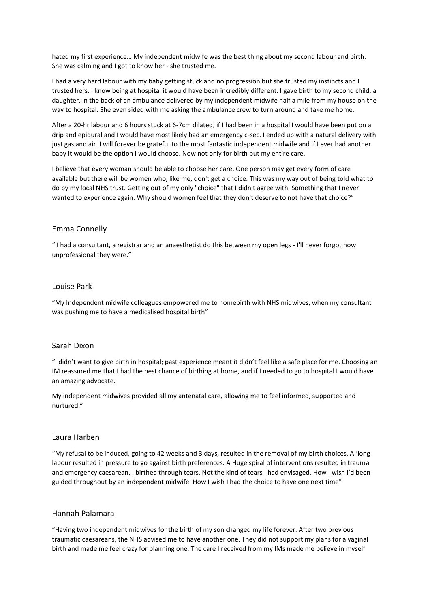hated my first experience… My independent midwife was the best thing about my second labour and birth. She was calming and I got to know her - she trusted me.

I had a very hard labour with my baby getting stuck and no progression but she trusted my instincts and I trusted hers. I know being at hospital it would have been incredibly different. I gave birth to my second child, a daughter, in the back of an ambulance delivered by my independent midwife half a mile from my house on the way to hospital. She even sided with me asking the ambulance crew to turn around and take me home.

After a 20-hr labour and 6 hours stuck at 6-7cm dilated, if I had been in a hospital I would have been put on a drip and epidural and I would have most likely had an emergency c-sec. I ended up with a natural delivery with just gas and air. I will forever be grateful to the most fantastic independent midwife and if I ever had another baby it would be the option I would choose. Now not only for birth but my entire care.

I believe that every woman should be able to choose her care. One person may get every form of care available but there will be women who, like me, don't get a choice. This was my way out of being told what to do by my local NHS trust. Getting out of my only "choice" that I didn't agree with. Something that I never wanted to experience again. Why should women feel that they don't deserve to not have that choice?"

### Emma Connelly

" I had a consultant, a registrar and an anaesthetist do this between my open legs - I'll never forgot how unprofessional they were."

#### Louise Park

"My Independent midwife colleagues empowered me to homebirth with NHS midwives, when my consultant was pushing me to have a medicalised hospital birth"

### Sarah Dixon

"I didn't want to give birth in hospital; past experience meant it didn't feel like a safe place for me. Choosing an IM reassured me that I had the best chance of birthing at home, and if I needed to go to hospital I would have an amazing advocate.

My independent midwives provided all my antenatal care, allowing me to feel informed, supported and nurtured."

#### Laura Harben

"My refusal to be induced, going to 42 weeks and 3 days, resulted in the removal of my birth choices. A 'long labour resulted in pressure to go against birth preferences. A Huge spiral of interventions resulted in trauma and emergency caesarean. I birthed through tears. Not the kind of tears I had envisaged. How I wish I'd been guided throughout by an independent midwife. How I wish I had the choice to have one next time"

#### Hannah Palamara

"Having two independent midwives for the birth of my son changed my life forever. After two previous traumatic caesareans, the NHS advised me to have another one. They did not support my plans for a vaginal birth and made me feel crazy for planning one. The care I received from my IMs made me believe in myself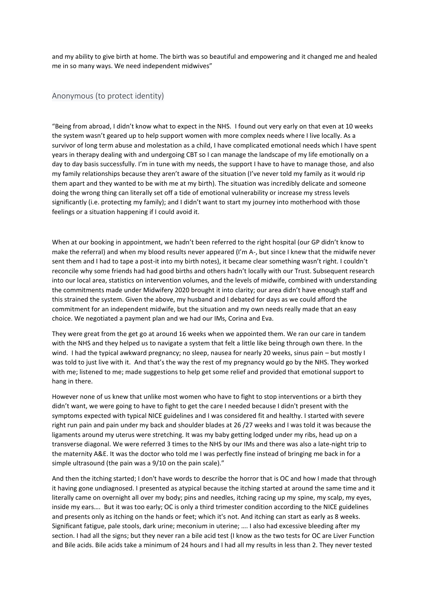and my ability to give birth at home. The birth was so beautiful and empowering and it changed me and healed me in so many ways. We need independent midwives"

#### Anonymous (to protect identity)

"Being from abroad, I didn't know what to expect in the NHS. I found out very early on that even at 10 weeks the system wasn't geared up to help support women with more complex needs where I live locally. As a survivor of long term abuse and molestation as a child, I have complicated emotional needs which I have spent years in therapy dealing with and undergoing CBT so I can manage the landscape of my life emotionally on a day to day basis successfully. I'm in tune with my needs, the support I have to have to manage those, and also my family relationships because they aren't aware of the situation (I've never told my family as it would rip them apart and they wanted to be with me at my birth). The situation was incredibly delicate and someone doing the wrong thing can literally set off a tide of emotional vulnerability or increase my stress levels significantly (i.e. protecting my family); and I didn't want to start my journey into motherhood with those feelings or a situation happening if I could avoid it.

When at our booking in appointment, we hadn't been referred to the right hospital (our GP didn't know to make the referral) and when my blood results never appeared (I'm A-, but since I knew that the midwife never sent them and I had to tape a post-it into my birth notes), it became clear something wasn't right. I couldn't reconcile why some friends had had good births and others hadn't locally with our Trust. Subsequent research into our local area, statistics on intervention volumes, and the levels of midwife, combined with understanding the commitments made under Midwifery 2020 brought it into clarity; our area didn't have enough staff and this strained the system. Given the above, my husband and I debated for days as we could afford the commitment for an independent midwife, but the situation and my own needs really made that an easy choice. We negotiated a payment plan and we had our IMs, Corina and Eva.

They were great from the get go at around 16 weeks when we appointed them. We ran our care in tandem with the NHS and they helped us to navigate a system that felt a little like being through own there. In the wind. I had the typical awkward pregnancy; no sleep, nausea for nearly 20 weeks, sinus pain – but mostly I was told to just live with it. And that's the way the rest of my pregnancy would go by the NHS. They worked with me; listened to me; made suggestions to help get some relief and provided that emotional support to hang in there.

However none of us knew that unlike most women who have to fight to stop interventions or a birth they didn't want, we were going to have to fight to get the care I needed because I didn't present with the symptoms expected with typical NICE guidelines and I was considered fit and healthy. I started with severe right run pain and pain under my back and shoulder blades at 26 /27 weeks and I was told it was because the ligaments around my uterus were stretching. It was my baby getting lodged under my ribs, head up on a transverse diagonal. We were referred 3 times to the NHS by our IMs and there was also a late-night trip to the maternity A&E. It was the doctor who told me I was perfectly fine instead of bringing me back in for a simple ultrasound (the pain was a 9/10 on the pain scale)."

And then the itching started; I don't have words to describe the horror that is OC and how I made that through it having gone undiagnosed. I presented as atypical because the itching started at around the same time and it literally came on overnight all over my body; pins and needles, itching racing up my spine, my scalp, my eyes, inside my ears…. But it was too early; OC is only a third trimester condition according to the NICE guidelines and presents only as itching on the hands or feet; which it's not. And itching can start as early as 8 weeks. Significant fatigue, pale stools, dark urine; meconium in uterine; …. I also had excessive bleeding after my section. I had all the signs; but they never ran a bile acid test (I know as the two tests for OC are Liver Function and Bile acids. Bile acids take a minimum of 24 hours and I had all my results in less than 2. They never tested